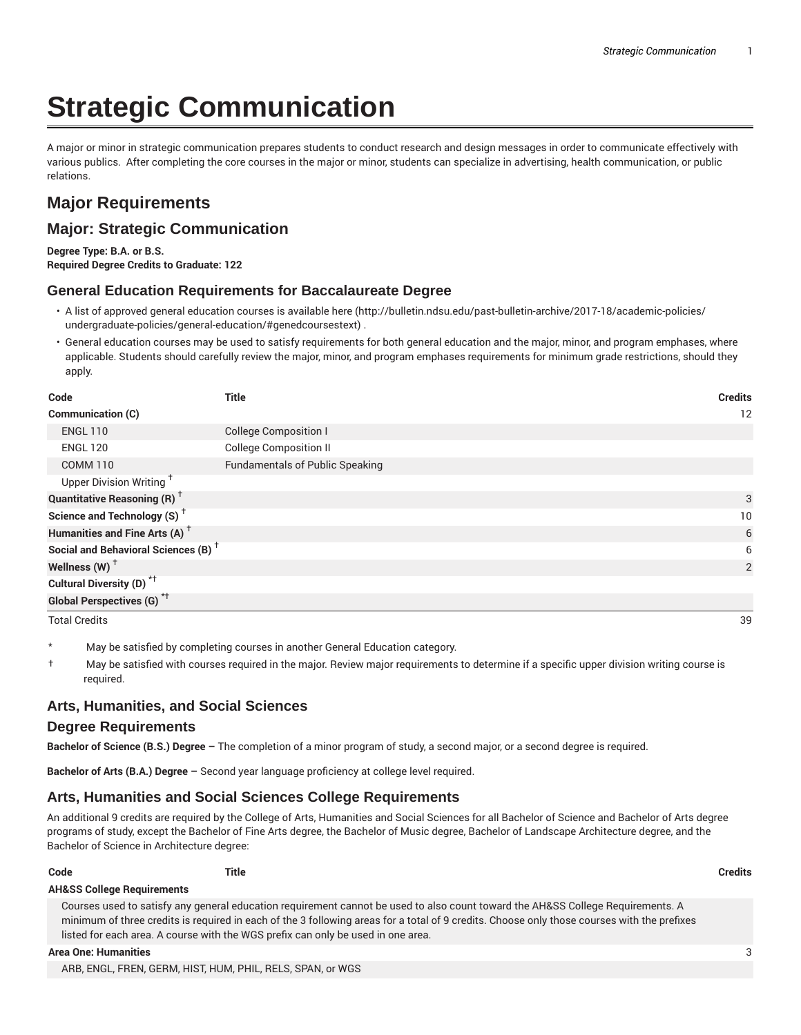# **Strategic Communication**

A major or minor in strategic communication prepares students to conduct research and design messages in order to communicate effectively with various publics. After completing the core courses in the major or minor, students can specialize in advertising, health communication, or public relations.

# **Major Requirements**

# **Major: Strategic Communication**

**Degree Type: B.A. or B.S. Required Degree Credits to Graduate: 122**

# **General Education Requirements for Baccalaureate Degree**

- A list of approved general education courses is available here (http://bulletin.ndsu.edu/past-bulletin-archive/2017-18/academic-policies/ undergraduate-policies/general-education/#genedcoursestext) .
- General education courses may be used to satisfy requirements for both general education and the major, minor, and program emphases, where applicable. Students should carefully review the major, minor, and program emphases requirements for minimum grade restrictions, should they apply.

| Code                                            | <b>Title</b>                           | <b>Credits</b> |
|-------------------------------------------------|----------------------------------------|----------------|
| <b>Communication (C)</b>                        |                                        | 12             |
| <b>ENGL 110</b>                                 | <b>College Composition I</b>           |                |
| <b>ENGL 120</b>                                 | <b>College Composition II</b>          |                |
| <b>COMM 110</b>                                 | <b>Fundamentals of Public Speaking</b> |                |
| Upper Division Writing <sup>+</sup>             |                                        |                |
| <b>Quantitative Reasoning (R)</b> <sup>†</sup>  |                                        | 3              |
| Science and Technology $(S)$ <sup>+</sup>       |                                        | 10             |
| Humanities and Fine Arts (A) <sup>+</sup>       |                                        | 6              |
| Social and Behavioral Sciences (B) <sup>+</sup> |                                        | 6              |
| Wellness (W) $^{\dagger}$                       |                                        | 2              |
| Cultural Diversity (D) <sup>*†</sup>            |                                        |                |
| <b>Global Perspectives (G)</b> <sup>*†</sup>    |                                        |                |

Total Credits 39

May be satisfied by completing courses in another General Education category.

† May be satisfied with courses required in the major. Review major requirements to determine if a specific upper division writing course is required.

# **Arts, Humanities, and Social Sciences**

### **Degree Requirements**

**Bachelor of Science (B.S.) Degree –** The completion of a minor program of study, a second major, or a second degree is required.

**Bachelor of Arts (B.A.) Degree –** Second year language proficiency at college level required.

# **Arts, Humanities and Social Sciences College Requirements**

An additional 9 credits are required by the College of Arts, Humanities and Social Sciences for all Bachelor of Science and Bachelor of Arts degree programs of study, except the Bachelor of Fine Arts degree, the Bachelor of Music degree, Bachelor of Landscape Architecture degree, and the Bachelor of Science in Architecture degree:

**Code Title Credits**

#### **AH&SS College Requirements**

Courses used to satisfy any general education requirement cannot be used to also count toward the AH&SS College Requirements. A minimum of three credits is required in each of the 3 following areas for a total of 9 credits. Choose only those courses with the prefixes listed for each area. A course with the WGS prefix can only be used in one area.

#### **Area One: Humanities** 3

ARB, ENGL, FREN, GERM, HIST, HUM, PHIL, RELS, SPAN, or WGS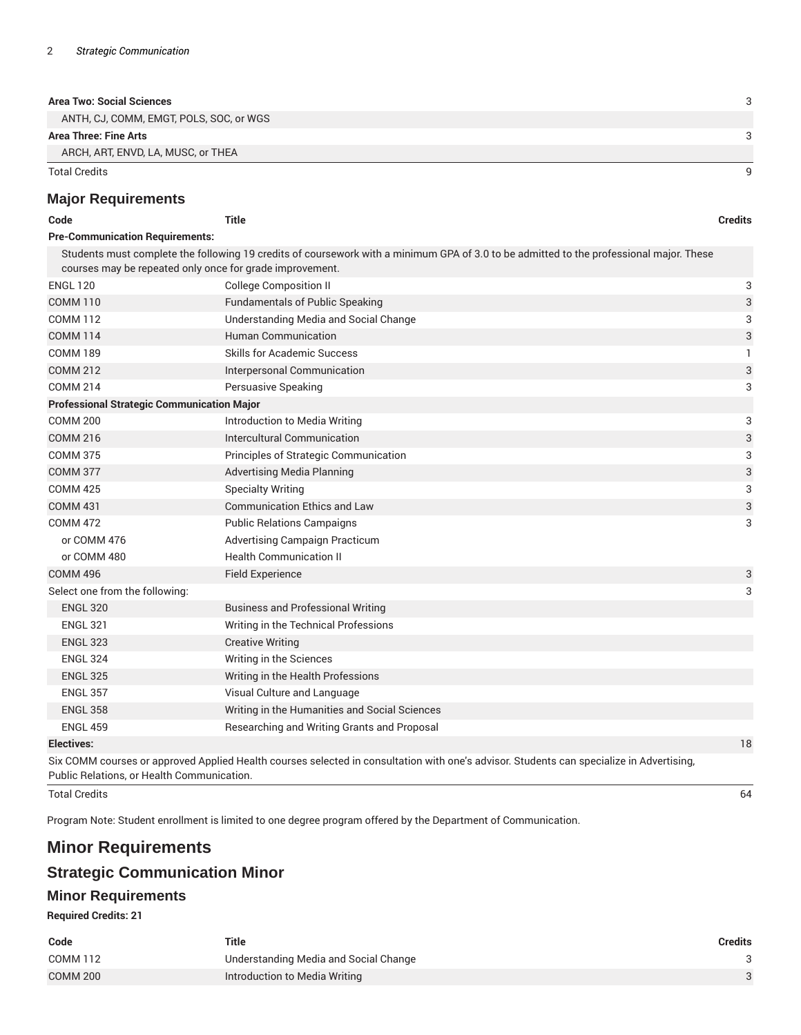| Area Two: Social Sciences               |  |
|-----------------------------------------|--|
| ANTH, CJ, COMM, EMGT, POLS, SOC, or WGS |  |
| Area Three: Fine Arts                   |  |
| ARCH, ART, ENVD, LA, MUSC, or THEA      |  |
| Total Credits                           |  |

# **Major Requirements**

| Code<br>Title | Credits |
|---------------|---------|
|---------------|---------|

#### **Pre-Communication Requirements:**

Students must complete the following 19 credits of coursework with a minimum GPA of 3.0 to be admitted to the professional major. These courses may be repeated only once for grade improvement.

| <b>ENGL 120</b>                                   | <b>College Composition II</b>                 | 3  |
|---------------------------------------------------|-----------------------------------------------|----|
| <b>COMM 110</b>                                   | <b>Fundamentals of Public Speaking</b>        | 3  |
| <b>COMM 112</b>                                   | Understanding Media and Social Change         | 3  |
| <b>COMM 114</b>                                   | <b>Human Communication</b>                    | 3  |
| <b>COMM 189</b>                                   | <b>Skills for Academic Success</b>            | 1  |
| <b>COMM 212</b>                                   | Interpersonal Communication                   | 3  |
| <b>COMM 214</b>                                   | Persuasive Speaking                           | 3  |
| <b>Professional Strategic Communication Major</b> |                                               |    |
| <b>COMM 200</b>                                   | Introduction to Media Writing                 | 3  |
| <b>COMM 216</b>                                   | Intercultural Communication                   | 3  |
| <b>COMM 375</b>                                   | Principles of Strategic Communication         | 3  |
| <b>COMM 377</b>                                   | <b>Advertising Media Planning</b>             | 3  |
| <b>COMM 425</b>                                   | <b>Specialty Writing</b>                      | 3  |
| <b>COMM 431</b>                                   | <b>Communication Ethics and Law</b>           | 3  |
| <b>COMM 472</b>                                   | <b>Public Relations Campaigns</b>             | 3  |
| or COMM 476                                       | <b>Advertising Campaign Practicum</b>         |    |
| or COMM 480                                       | <b>Health Communication II</b>                |    |
| <b>COMM 496</b>                                   | <b>Field Experience</b>                       | 3  |
| Select one from the following:                    |                                               | 3  |
| <b>ENGL 320</b>                                   | <b>Business and Professional Writing</b>      |    |
| <b>ENGL 321</b>                                   | Writing in the Technical Professions          |    |
| <b>ENGL 323</b>                                   | <b>Creative Writing</b>                       |    |
| <b>ENGL 324</b>                                   | Writing in the Sciences                       |    |
| <b>ENGL 325</b>                                   | Writing in the Health Professions             |    |
| <b>ENGL 357</b>                                   | Visual Culture and Language                   |    |
| <b>ENGL 358</b>                                   | Writing in the Humanities and Social Sciences |    |
| <b>ENGL 459</b>                                   | Researching and Writing Grants and Proposal   |    |
| <b>Electives:</b>                                 |                                               | 18 |
|                                                   |                                               |    |

Six COMM courses or approved Applied Health courses selected in consultation with one's advisor. Students can specialize in Advertising, Public Relations, or Health Communication.

Total Credits 64

Program Note: Student enrollment is limited to one degree program offered by the Department of Communication.

# **Minor Requirements**

# **Strategic Communication Minor**

### **Minor Requirements**

**Required Credits: 21**

| Code            | Title                                 | <b>Credits</b> |
|-----------------|---------------------------------------|----------------|
| COMM 112        | Understanding Media and Social Change |                |
| <b>COMM 200</b> | Introduction to Media Writing         |                |